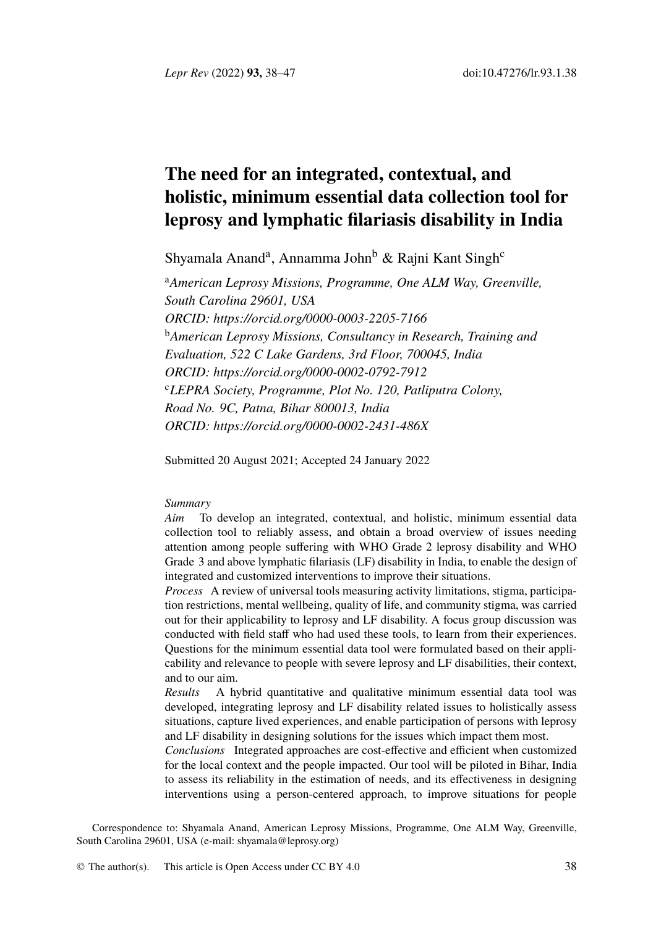*Lepr Rev* (2022) **93,** 38–47 doi:10.47276/lr.93.1.38

# **The n[eed for an integrated, conte](https://orcid.org/0000-0003-2205-7166)xtual, and holistic, minimum essential data collection tool for lepro[sy and lymphatic filariasis d](https://orcid.org/0000-0002-0792-7912)isability in India**

Shyamala Anand<sup>a</sup>, Annamma John<sup>b</sup> & Rajni Kant Singh<sup>c</sup>

<sup>a</sup>*Americ[an Leprosy Missions, Programme, One A](https://orcid.org/0000-0002-2431-486X)LM Way, Greenville, South Carolina 29601, USA ORCID: https://orcid.org/0000-0003-2205-7166* <sup>b</sup>*American Leprosy Missions, Consultancy in Research, Training and Evaluation, 522 C Lake Gardens, 3rd Floor, 700045, India ORCID: https://orcid.org/0000-0002-0792-7912* <sup>c</sup>*LEPRA Society, Programme, Plot No. 120, Patliputra Colony, Road No. 9C, Patna, Bihar 800013, India ORCID: https://orcid.org/0000-0002-2431-486X*

Submitted 20 August 2021; Accepted 24 January 2022

# *Summary*

*Aim* To develop an integrated, contextual, and holistic, minimum essential data collection tool to reliably assess, and obtain a broad overview of issues needing attention among people suffering with WHO Grade 2 leprosy disability and WHO Grade 3 and above lymphatic filariasis (LF) disability in India, to enable the design of integrated and customized interventions to improve their situations.

*Process* A review of universal tools measuring activity limitations, stigma, participation restrictions, mental wellbeing, quality of life, and community stigma, was carried out for their applicability to leprosy and LF disability. A focus group discussion was conducted with field staff who had used these tools, to learn from their experiences. Questions for the minimum essential data tool were formulated based on their applicability and relevance to people with severe leprosy and LF disabilities, their context, and to our aim.

*Results* A h[ybrid quantitative an](mailto:shyamala@leprosy.org)d qualitative minimum essential data tool was developed, integrating leprosy and LF disability related issues to holistically assess situations, capture lived exper[iences, and](http://creativecommons.org/licenses/by/4.0/) enable participation of persons with leprosy and LF disability in designing solutions for the issues which impact them most.

*Conclusions* Integrated approaches are cost-effective and efficient when customized for the local context and the people impacted. Our tool will be piloted in Bihar, India to assess its reliability in the estimation of needs, and its effectiveness in designing interventions using a person-centered approach, to improve situations for people

Correspondence to: Shyamala Anand, American Leprosy Missions, Programme, One ALM Way, Greenville, South Carolina 29601, USA (e-mail: shyamala@leprosy.org)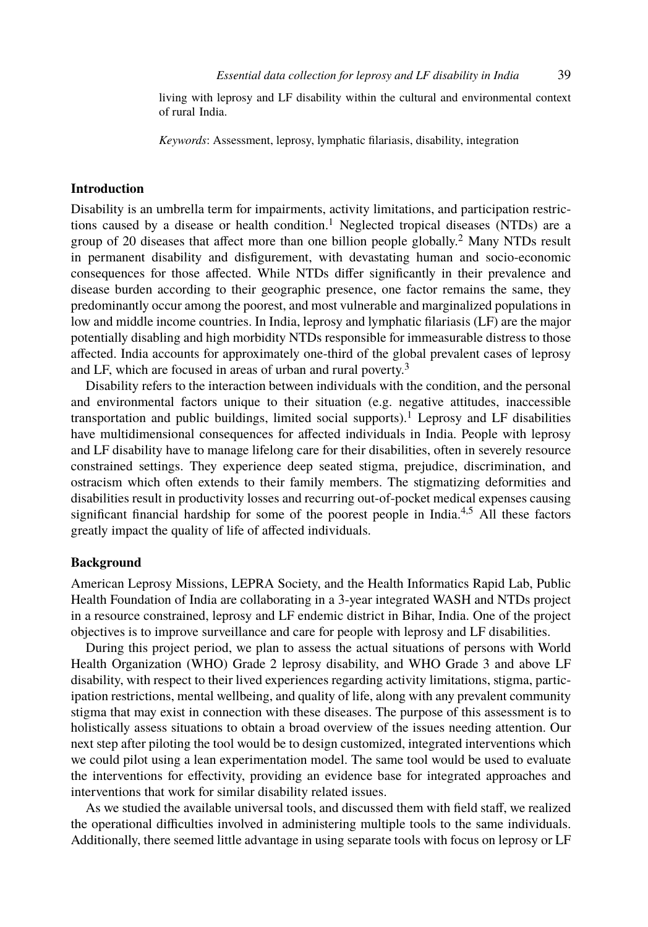### *Essential data collecti[on](#page-9-0) for leprosy and LF disability in India* 39

living with leprosy and LF disability within the cultural and [e](#page-9-1)nvironmental context of rural India.

*Keywords*: Assessment, leprosy, lymphatic filariasis, disability, integration

### **Introduction**

Disability is an umbrella term for impairments, activity limitations, and participation restrictions caused by a disease or health condition.<sup>1</sup> Neglected t[ro](#page-9-2)pical diseases (NTDs) are a group of 20 diseases that affect more than one billion people globally.<sup>2</sup> Many NTDs result in permanent disability and disfigurement, with devastating human and socio-economic consequences for those affected. While NTDs differ signifi[ca](#page-9-0)ntly in their prevalence and disease burden according to their geographic presence, one factor remains the same, they predominantly occur among the poorest, and most vulnerable and marginalized populations in low and middle income countries. In India, leprosy and lymphatic filariasis (LF) are the major potentially disabling and high morbidity NTDs responsible for immeasurable distress to those affected. India accounts for approximately one-third of the global preva[le](#page-9-3)[n](#page-9-4)t cases of leprosy and LF, which are focused in areas of urban and rural poverty.<sup>3</sup>

Disability refers to the interaction between individuals with the condition, and the personal and environmental factors unique to their situation (e.g. negative attitudes, inaccessible transportation and public buildings, limited social supports).<sup>1</sup> Leprosy and LF disabilities have multidimensional consequences for affected individuals in India. People with leprosy and LF disability have to manage lifelong care for their disabilities, often in severely resource constrained settings. They experience deep seated stigma, prejudice, discrimination, and ostracism which often extends to their family members. The stigmatizing deformities and disabilities result in productivity losses and recurring out-of-pocket medical expenses causing significant financial hardship for some of the poorest people in India.<sup>4,5</sup> All these factors greatly impact the quality of life of affected individuals.

### **Background**

American Leprosy Missions, LEPRA Society, and the Health Informatics Rapid Lab, Public Health Foundation of India are collaborating in a 3-year integrated WASH and NTDs project in a resource constrained, leprosy and LF endemic district in Bihar, India. One of the project objectives is to improve surveillance and care for people with leprosy and LF disabilities.

During this project period, we plan to assess the actual situations of persons with World Health Organization (WHO) Grade 2 leprosy disability, and WHO Grade 3 and above LF disability, with respect to their lived experiences regarding activity limitations, stigma, participation restrictions, mental wellbeing, and quality of life, along with any prevalent community stigma that may exist in connection with these diseases. The purpose of this assessment is to holistically assess situations to obtain a broad overview of the issues needing attention. Our next step after piloting the tool would be to design customized, integrated interventions which we could pilot using a lean experimentation model. The same tool would be used to evaluate the interventions for effectivity, providing an evidence base for integrated approaches and interventions that work for similar disability related issues.

As we studied the available universal tools, and discussed them with field staff, we realized the operational difficulties involved in administering multiple tools to the same individuals. Additionally, there seemed little advantage in using separate tools with focus on leprosy or LF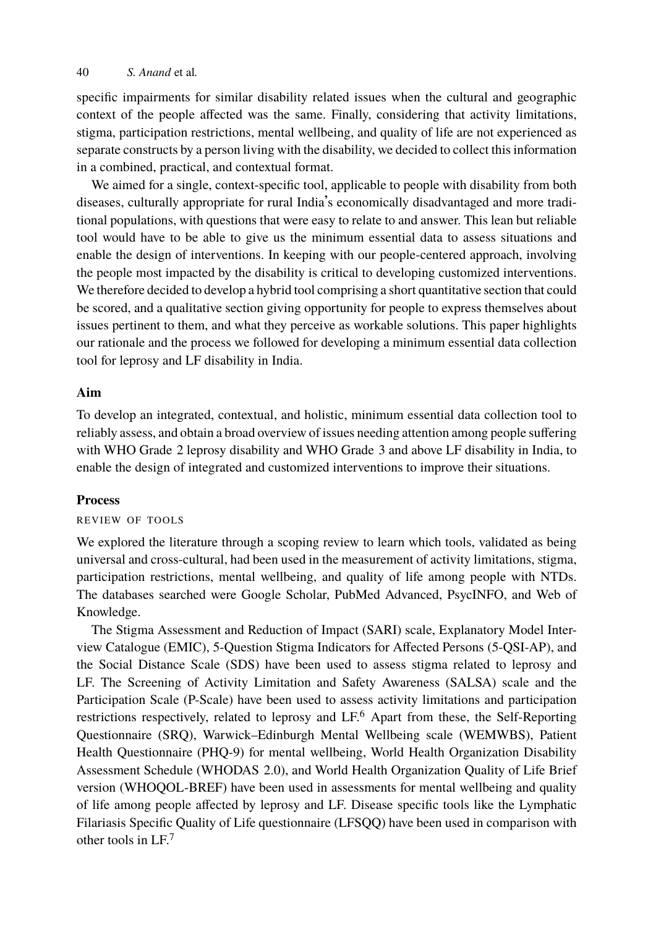specific impairments for similar disability related issues when the cultural and geographic context of the people affected was the same. Finally, considering that activity limitations, stigma, participation restrictions, mental wellbeing, and quality of life are not experienced as separate constructs by a person living with the disability, we decided to collect this information in a combined, practical, and contextual format.

We aimed for a single, context-specific tool, applicable to people with disability from both diseases, culturally appropriate for rural India's economically disadvantaged and more traditional populations, with questions that were easy to relate to and answer. This lean but reliable tool would have to be able to give us the minimum essential data to assess situations and enable the design of interventions. In keeping with our people-centered approach, involving the people most impacted by the disability is critical to developing customized interventions. We therefore decided to develop a hybrid tool comprising a short quantitative section that could be scored, and a qualitative section giving opportunity for people to express themselves about issues pertinent to them, and what they perceive as workable solutions. This paper highlights our rationale and the process we followed for developing a minimum essential data collection tool for leprosy and LF disability in India.

# **Aim**

To develop an integrated, contextual, and holistic, minimum essential data collection tool to reliably assess, and obtain a broad overview of issues needing attention among people suffering with WHO Grade 2 leprosy disability and WHO Grade 3 and above LF disability in India, to enable the design of integrated and customized interventions to improve their situations.

# **Process**

### REVIEW OF TOOLS

We explored the literature through a scoping review to learn which tools, validated as being universal and cross-cultural, had been used in the measurement of activity limitations, stigma, participation restrictions, mental wellbeing, and q[ua](#page-9-5)lity of life among people with NTDs. The databases searched were Google Scholar, PubMed Advanced, PsycINFO, and Web of Knowledge.

The Stigma Assessment and Reduction of Impact (SARI) scale, Explanatory Model Interview Catalogue (EMIC), 5-Question Stigma Indicators for Affected Persons (5-QSI-AP), and the Social Distance Scale (SDS) have been used to assess stigma related to leprosy and LF. The Screening of Activity Limitation and Safety Awareness (SALSA) scale and the Participation Sc[ale](#page-9-6) (P-Scale) have been used to assess activity limitations and participation restrictions respectively, related to leprosy and LF.<sup>6</sup> Apart from these, the Self-Reporting Questionnaire (SRQ), Warwick–Edinburgh Mental Wellbeing scale (WEMWBS), Patient Health Questionnaire (PHQ-9) for mental wellbeing, World Health Organization Disability Assessment Schedule (WHODAS 2.0), and World Health Organization Quality of Life Brief version (WHOQOL-BREF) have been used in assessments for mental wellbeing and quality of life among people affected by leprosy and LF. Disease specific tools like the Lymphatic Filariasis Specific Quality of Life questionnaire (LFSQQ) have been used in comparison with other tools in LF.<sup>7</sup>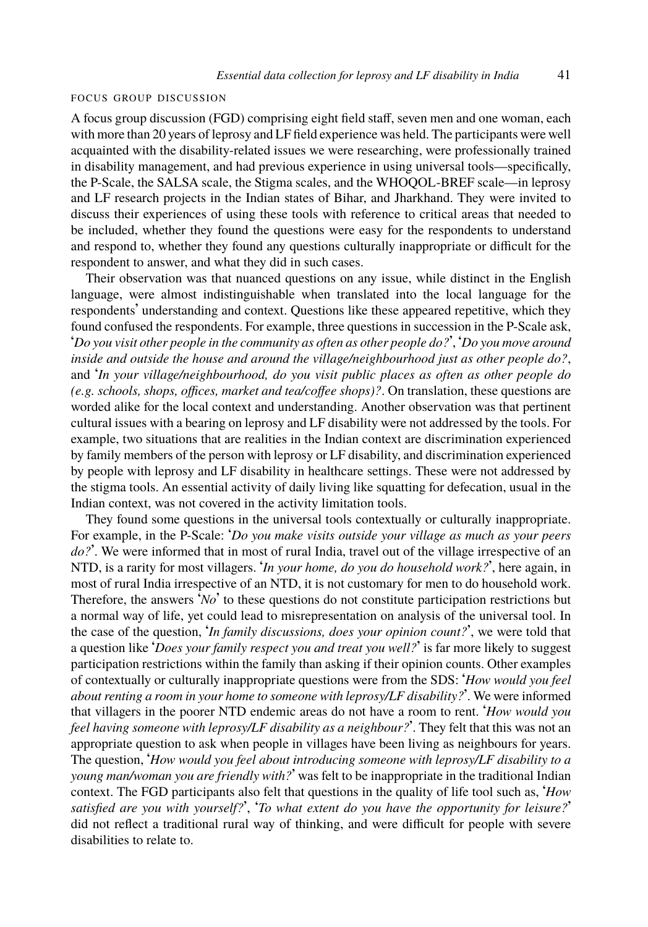#### FOCUS GROUP DISCUSSION

A focus group discussion (FGD) comprising eight field staff, seven men and one woman, each with more than 20 years of leprosy and LF field experience was held. The participants were well acquainted with the disability-related issues we were researching, were professionally trained in disability management, and had previous experience in using universal tools—specifically, the P-Scale, the SALSA scale, the Stigma scales, and the WHOQOL-BREF scale—in leprosy and LF research projects in the Indian states of Bihar, and Jharkhand. They were invited to discuss their experiences of using these tools with reference to critical areas that needed to be included, whether they found the questions were easy for the respondents to understand and respond to, whether they found any questions culturally inappropriate or difficult for the respondent to answer, and what they did in such cases.

Their observation was that nuanced questions on any issue, while distinct in the English language, were almost indistinguishable when translated into the local language for the respondents' understanding and context. Questions like these appeared repetitive, which they found confused the respondents. For example, three questions in succession in the P-Scale ask, '*Do you visit other people in the community as often as other people do?*', '*Do you move around inside and outside the house and around the village/neighbourhood just as other people do?*, and '*In your village/neighbourhood, do you visit public places as often as other people do (e.g. schools, shops, offices, market and tea/coffee shops)?*. On translation, these questions are worded alike for the local context and understanding. Another observation was that pertinent cultural issues with a bearing on leprosy and LF disability were not addressed by the tools. For example, two situations that are realities in the Indian context are discrimination experienced by family members of the person with leprosy or LF disability, and discrimination experienced by people with leprosy and LF disability in healthcare settings. These were not addressed by the stigma tools. An essential activity of daily living like squatting for defecation, usual in the Indian context, was not covered in the activity limitation tools.

They found some questions in the universal tools contextually or culturally inappropriate. For example, in the P-Scale: '*Do you make visits outside your village as much as your peers* do?'. We were informed that in most of rural India, travel out of the village irrespective of an NTD, is a rarity for most villagers. '*In your home, do you do household work?*', here again, in most of rural India irrespective of an NTD, it is not customary for men to do household work. Therefore, the answers '*No*' to these questions do not constitute participation restrictions but a normal way of life, yet could lead to misrepresentation on analysis of the universal tool. In the case of the question, '*In family discussions, does your opinion count?*', we were told that a question like '*Does your family respect you and treat you well?*' is far more likely to suggest participation restrictions within the family than asking if their opinion counts. Other examples of contextually or culturally inappropriate questions were from the SDS: '*How would you feel about renting a room in your home to someone with leprosy/LF disability?*'. We were informed that villagers in the poorer NTD endemic areas do not have a room to rent. '*How would you feel having someone with leprosy/LF disability as a neighbour?*'. They felt that this was not an appropriate question to ask when people in villages have been living as neighbours for years. The question, '*How would you feel about introducing someone with leprosy/LF disability to a young man/woman you are friendly with?*' was felt to be inappropriate in the traditional Indian context. The FGD participants also felt that questions in the quality of life tool such as, '*How satisfied are you with yourself?*', '*To what extent do you have the opportunity for leisure?*' did not reflect a traditional rural way of thinking, and were difficult for people with severe disabilities to relate to.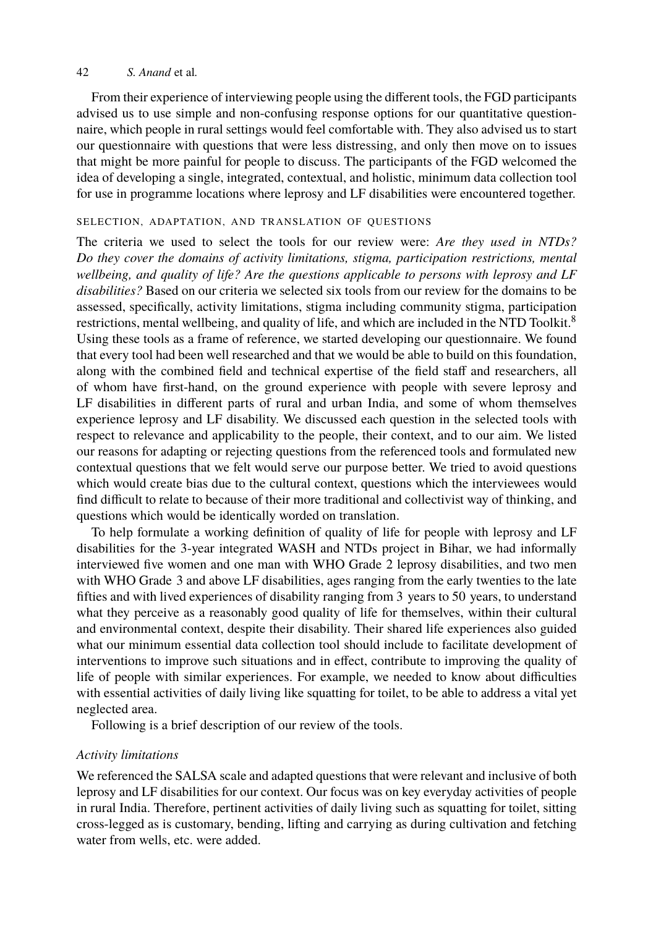From their experience of interviewing people using the different tools, the FGD participants advised us to use simple and non-confusing response options for our quantitative questionnaire, which people in rural settings would feel comfortable with. They also advised us to start our questionnaire with questions that were less distressing, and only then move on to issues that might be more painful for people to discuss. The participants of the FGD welcomed the idea of developing a single, integrated, contextual, and holistic, minimum data collection to[ol](#page-9-7) for use in programme locations where leprosy and LF disabilities were encountered together.

# SELECTION, ADAPTATION, AND TRANSLATION OF QUESTIONS

The criteria we used to select the tools for our review were: *Are they used in NTDs? Do they cover the domains of activity limitations, stigma, participation restrictions, mental wellbeing, and quality of life? Are the questions applicable to persons with leprosy and LF disabilities?* Based on our criteria we selected six tools from our review for the domains to be assessed, specifically, activity limitations, stigma including community stigma, participation restrictions, mental wellbeing, and quality of life, and which are included in the NTD Toolkit.<sup>8</sup> Using these tools as a frame of reference, we started developing our questionnaire. We found that every tool had been well researched and that we would be able to build on this foundation, along with the combined field and technical expertise of the field staff and researchers, all of whom have first-hand, on the ground experience with people with severe leprosy and LF disabilities in different parts of rural and urban India, and some of whom themselves experience leprosy and LF disability. We discussed each question in the selected tools with respect to relevance and applicability to the people, their context, and to our aim. We listed our reasons for adapting or rejecting questions from the referenced tools and formulated new contextual questions that we felt would serve our purpose better. We tried to avoid questions which would create bias due to the cultural context, questions which the interviewees would find difficult to relate to because of their more traditional and collectivist way of thinking, and questions which would be identically worded on translation.

To help formulate a working definition of quality of life for people with leprosy and LF disabilities for the 3-year integrated WASH and NTDs project in Bihar, we had informally interviewed five women and one man with WHO Grade 2 leprosy disabilities, and two men with WHO Grade 3 and above LF disabilities, ages ranging from the early twenties to the late fifties and with lived experiences of disability ranging from 3 years to 50 years, to understand what they perceive as a reasonably good quality of life for themselves, within their cultural and environmental context, despite their disability. Their shared life experiences also guided what our minimum essential data collection tool should include to facilitate development of interventions to improve such situations and in effect, contribute to improving the quality of life of people with similar experiences. For example, we needed to know about difficulties with essential activities of daily living like squatting for toilet, to be able to address a vital yet neglected area.

Following is a brief description of our review of the tools.

### *Activity limitations*

We referenced the SALSA scale and adapted questions that were relevant and inclusive of both leprosy and LF disabilities for our context. Our focus was on key everyday activities of people in rural India. Therefore, pertinent activities of daily living such as squatting for toilet, sitting cross-legged as is customary, bending, lifting and carrying as during cultivation and fetching water from wells, etc. were added.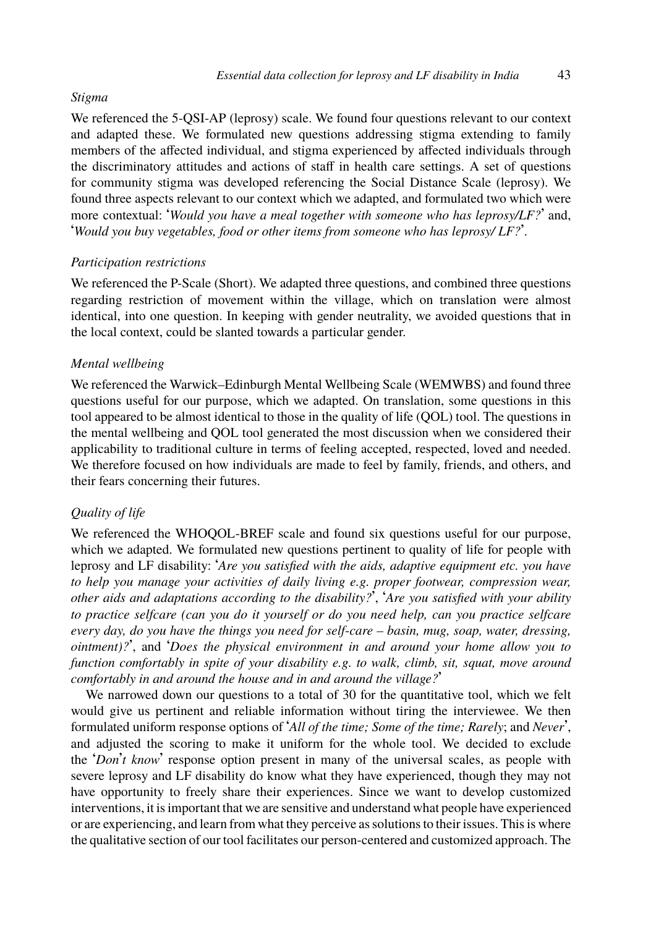# *Stigma*

We referenced the 5-QSI-AP (leprosy) scale. We found four questions relevant to our context and adapted these. We formulated new questions addressing stigma extending to family members of the affected individual, and stigma experienced by affected individuals through the discriminatory attitudes and actions of staff in health care settings. A set of questions for community stigma was developed referencing the Social Distance Scale (leprosy). We found three aspects relevant to our context which we adapted, and formulated two which were more contextual: '*Would you have a meal together with someone who has leprosy/LF?*' and, '*Would you buy vegetables, food or other items from someone who has leprosy/ LF?*'.

# *Participation restrictions*

We referenced the P-Scale (Short). We adapted three questions, and combined three questions regarding restriction of movement within the village, which on translation were almost identical, into one question. In keeping with gender neutrality, we avoided questions that in the local context, could be slanted towards a particular gender.

## *Mental wellbeing*

We referenced the Warwick–Edinburgh Mental Wellbeing Scale (WEMWBS) and found three questions useful for our purpose, which we adapted. On translation, some questions in this tool appeared to be almost identical to those in the quality of life (QOL) tool. The questions in the mental wellbeing and QOL tool generated the most discussion when we considered their applicability to traditional culture in terms of feeling accepted, respected, loved and needed. We therefore focused on how individuals are made to feel by family, friends, and others, and their fears concerning their futures.

## *Quality of life*

We referenced the WHOQOL-BREF scale and found six questions useful for our purpose, which we adapted. We formulated new questions pertinent to quality of life for people with leprosy and LF disability: '*Are you satisfied with the aids, adaptive equipment etc. you have to help you manage your activities of daily living e.g. proper footwear, compression wear, other aids and adaptations according to the disability?*', '*Are you satisfied with your ability to practice selfcare (can you do it yourself or do you need help, can you practice selfcare every day, do you have the things you need for self-care – basin, mug, soap, water, dressing, ointment)?*', and '*Does the physical environment in and around your home allow you to function comfortably in spite of your disability e.g. to walk, climb, sit, squat, move around comfortably in and around the house and in and around the village?*'

We narrowed down our questions to a total of 30 for the quantitative tool, which we felt would give us pertinent and reliable information without tiring the interviewee. We then formulated uniform response options of '*All of the time; Some of the time; Rarely*; and *Never*', and adjusted the scoring to make it uniform for the whole tool. We decided to exclude the '*Don*'*t know*' response option present in many of the universal scales, as people with severe leprosy and LF disability do know what they have experienced, though they may not have opportunity to freely share their experiences. Since we want to develop customized interventions, it is important that we are sensitive and understand what people have experienced or are experiencing, and learn from what they perceive as solutions to their issues. This is where the qualitative section of our tool facilitates our person-centered and customized approach. The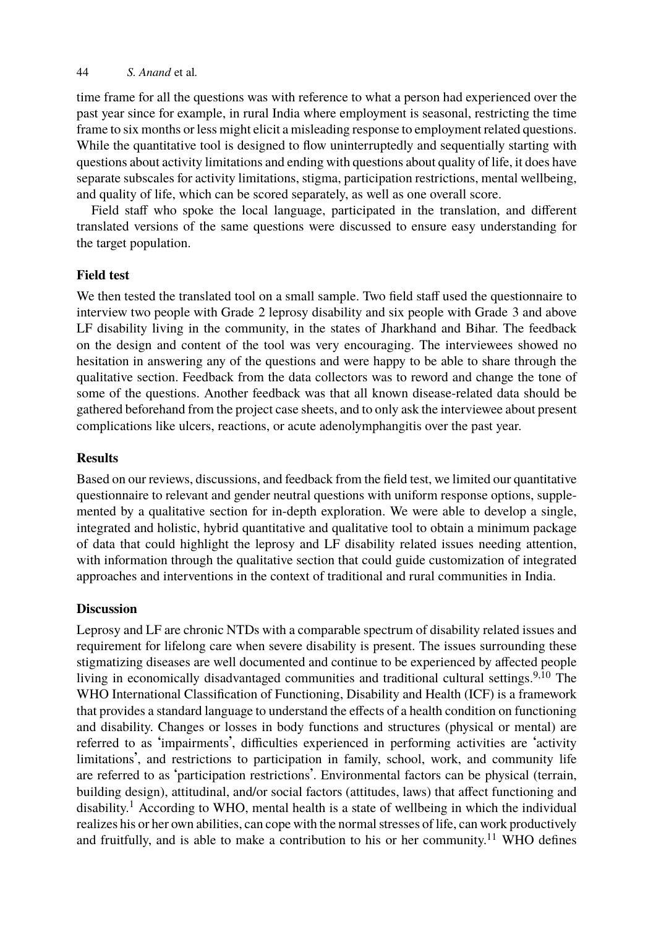time frame for all the questions was with reference to what a person had experienced over the past year since for example, in rural India where employment is seasonal, restricting the time frame to six months or less might elicit a misleading response to employment related questions. While the quantitative tool is designed to flow uninterruptedly and sequentially starting with questions about activity limitations and ending with questions about quality of life, it does have separate subscales for activity limitations, stigma, participation restrictions, mental wellbeing, and quality of life, which can be scored separately, as well as one overall score.

Field staff who spoke the local language, participated in the translation, and different translated versions of the same questions were discussed to ensure easy understanding for the target population.

### **Field test**

We then tested the translated tool on a small sample. Two field staff used the questionnaire to interview two people with Grade 2 leprosy disability and six people with Grade 3 and above LF disability living in the community, in the states of Jharkhand and Bihar. The feedback on the design and content of the tool was very encouraging. The interviewees showed no hesitation in answering any of the questions and were happy to be able to share through the qualitative section. Feedback from the data collectors was to reword and change the tone of some of the questions. Another feedback was that all known disease-related data should be gathered beforehand from the project case sheets, and to only ask the interviewee about present complications like ulcers, reactions, or acute adenolymphangitis over the past year.

### **Results**

Based on our reviews, discussions, and feedback from the field test, we limited our quantitative questionnaire to relevant and gender neutral questions with uniform response options, supplemented by a qualitative section for in-depth exploration. We were able to develop a single, integrated and holistic, hybrid quantitative and qualitative tool to obtain a minimum [p](#page-9-8)[ac](#page-9-9)kage of data that could highlight the leprosy and LF disability related issues needing attention, with information through the qualitative section that could guide customization of integrated approaches and interventions in the context of traditional and rural communities in India.

### **Discussion**

Leprosy and LF are chronic NTDs with a comparable spectrum of disability related issues and requirement for lifelong care when severe disability is present. The issues surrounding these stigmatizi[n](#page-9-0)g diseases are well documented and continue to be experienced by affected people living in economically disadvantaged communities and traditional cultural settings.<sup>9,10</sup> The WHO International Classification of Functioning, Disability and Health (IC[F\)](#page-9-10) is a framework that provides a standard language to understand the effects of a health condition on functioning and disability. Changes or losses in body functions and structures (physical or mental) are referred to as 'impairments', difficulties experienced in performing activities are 'activity limitations', and restrictions to participation in family, school, work, and community life are referred to as 'participation restrictions'. Environmental factors can be physical (terrain, building design), attitudinal, and/or social factors (attitudes, laws) that affect functioning and disability.<sup>1</sup> According to WHO, mental health is a state of wellbeing in which the individual realizes his or her own abilities, can cope with the normal stresses of life, can work productively and fruitfully, and is able to make a contribution to his or her community.<sup>11</sup> WHO defines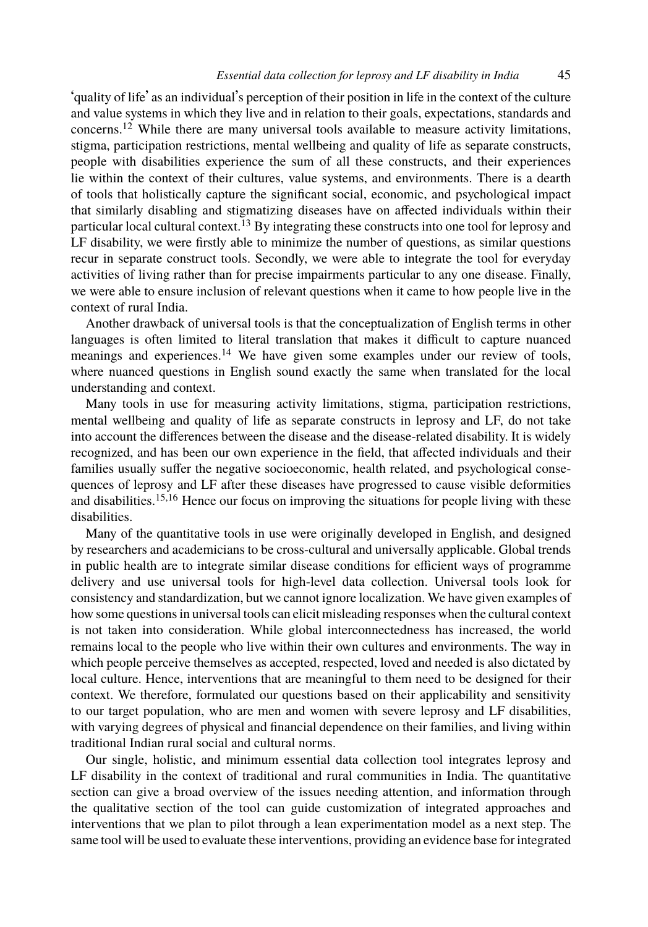#### *Esse[nti](#page-9-11)al data collection for leprosy and LF disability in India* 45

'quality of life' as an individual's perception of their position in life in the context of the culture and value systems in which they live and in relation to their goals, expectations, standards and concerns.<sup>12</sup> While there are many universal tools available to measure activity limitations, stigma, participation restrictions, mental wellbeing and quality of life as separate constructs, people with disabilities experience the sum of all these constructs, and their experiences lie within the context of their cultures, value systems, and environments. There is a dearth of tools that holistically capture the significant social, economic, and psychological impact that similarly disabling an[d s](#page-9-12)tigmatizing diseases have on affected individuals within their particular local cultural context.<sup>13</sup> By integrating these constructs into one tool for leprosy and LF disability, we were firstly able to minimize the number of questions, as similar questions recur in separate construct tools. Secondly, we were able to integrate the tool for everyday activities of living rather than for precise impairments particular to any one disease. Finally, we were able to ensure inclusion of relevant questions when it came to how people live in the context of rural India.

Another drawback of universal tools is that the conceptualization of English terms in other languages is often limited to literal translation that makes it difficult to capture nuanced meanings and [ex](#page-9-13)[pe](#page-9-14)riences.<sup>14</sup> We have given some examples under our review of tools, where nuanced questions in English sound exactly the same when translated for the local understanding and context.

Many tools in use for measuring activity limitations, stigma, participation restrictions, mental wellbeing and quality of life as separate constructs in leprosy and LF, do not take into account the differences between the disease and the disease-related disability. It is widely recognized, and has been our own experience in the field, that affected individuals and their families usually suffer the negative socioeconomic, health related, and psychological consequences of leprosy and LF after these diseases have progressed to cause visible deformities and disabilities.<sup>15,16</sup> Hence our focus on improving the situations for people living with these disabilities.

Many of the quantitative tools in use were originally developed in English, and designed by researchers and academicians to be cross-cultural and universally applicable. Global trends in public health are to integrate similar disease conditions for efficient ways of programme delivery and use universal tools for high-level data collection. Universal tools look for consistency and standardization, but we cannot ignore localization. We have given examples of how some questions in universal tools can elicit misleading responses when the cultural context is not taken into consideration. While global interconnectedness has increased, the world remains local to the people who live within their own cultures and environments. The way in which people perceive themselves as accepted, respected, loved and needed is also dictated by local culture. Hence, interventions that are meaningful to them need to be designed for their context. We therefore, formulated our questions based on their applicability and sensitivity to our target population, who are men and women with severe leprosy and LF disabilities, with varying degrees of physical and financial dependence on their families, and living within traditional Indian rural social and cultural norms.

Our single, holistic, and minimum essential data collection tool integrates leprosy and LF disability in the context of traditional and rural communities in India. The quantitative section can give a broad overview of the issues needing attention, and information through the qualitative section of the tool can guide customization of integrated approaches and interventions that we plan to pilot through a lean experimentation model as a next step. The same tool will be used to evaluate these interventions, providing an evidence base for integrated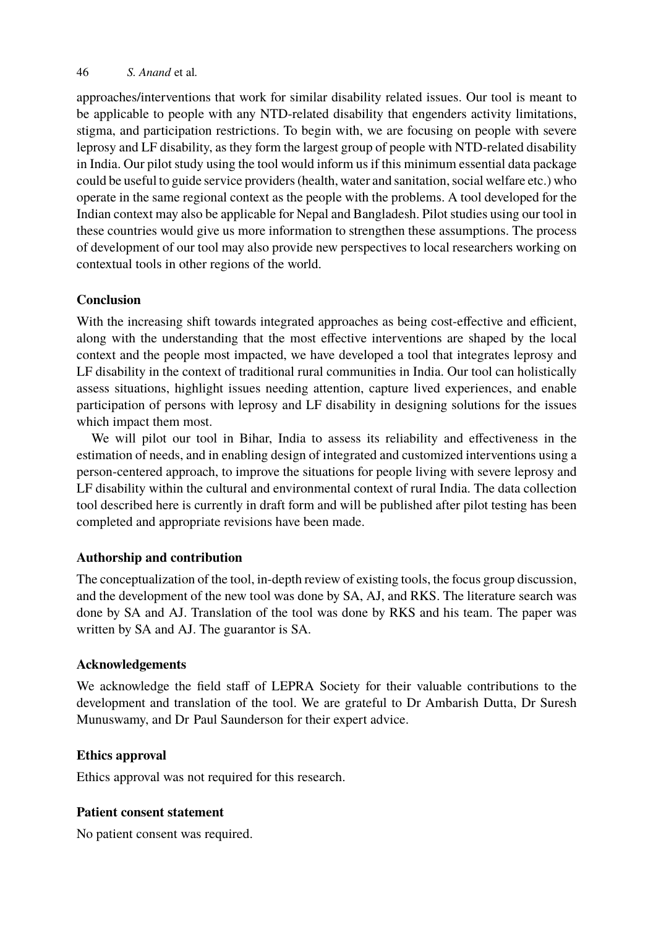approaches/interventions that work for similar disability related issues. Our tool is meant to be applicable to people with any NTD-related disability that engenders activity limitations, stigma, and participation restrictions. To begin with, we are focusing on people with severe leprosy and LF disability, as they form the largest group of people with NTD-related disability in India. Our pilot study using the tool would inform us if this minimum essential data package could be useful to guide service providers (health, water and sanitation, social welfare etc.) who operate in the same regional context as the people with the problems. A tool developed for the Indian context may also be applicable for Nepal and Bangladesh. Pilot studies using our tool in these countries would give us more information to strengthen these assumptions. The process of development of our tool may also provide new perspectives to local researchers working on contextual tools in other regions of the world.

# **Conclusion**

With the increasing shift towards integrated approaches as being cost-effective and efficient, along with the understanding that the most effective interventions are shaped by the local context and the people most impacted, we have developed a tool that integrates leprosy and LF disability in the context of traditional rural communities in India. Our tool can holistically assess situations, highlight issues needing attention, capture lived experiences, and enable participation of persons with leprosy and LF disability in designing solutions for the issues which impact them most.

We will pilot our tool in Bihar, India to assess its reliability and effectiveness in the estimation of needs, and in enabling design of integrated and customized interventions using a person-centered approach, to improve the situations for people living with severe leprosy and LF disability within the cultural and environmental context of rural India. The data collection tool described here is currently in draft form and will be published after pilot testing has been completed and appropriate revisions have been made.

# **Authorship and contribution**

The conceptualization of the tool, in-depth review of existing tools, the focus group discussion, and the development of the new tool was done by SA, AJ, and RKS. The literature search was done by SA and AJ. Translation of the tool was done by RKS and his team. The paper was written by SA and AJ. The guarantor is SA.

# **Acknowledgements**

We acknowledge the field staff of LEPRA Society for their valuable contributions to the development and translation of the tool. We are grateful to Dr Ambarish Dutta, Dr Suresh Munuswamy, and Dr Paul Saunderson for their expert advice.

# **Ethics approval**

Ethics approval was not required for this research.

# **Patient consent statement**

No patient consent was required.